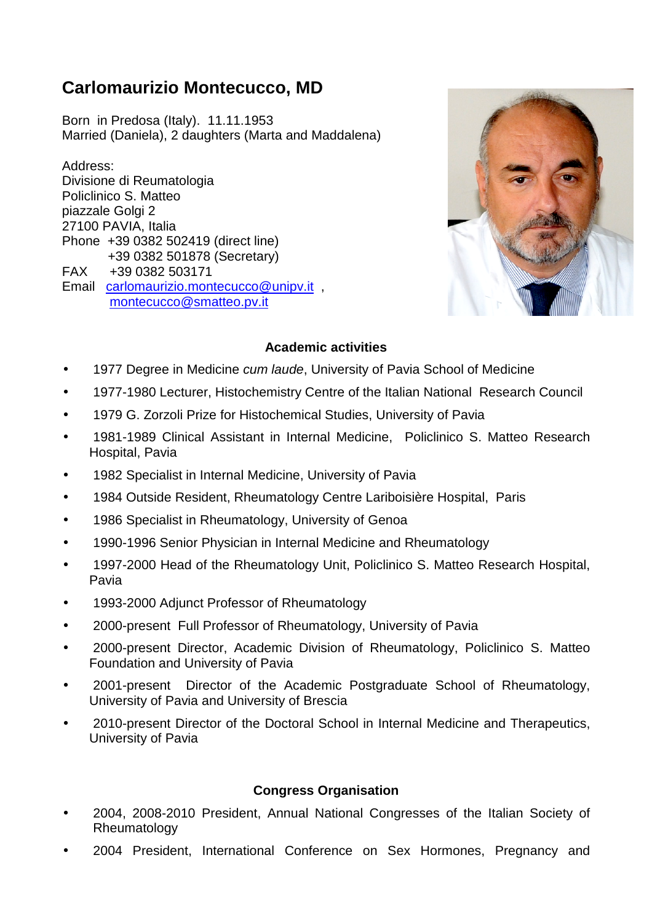# **Carlomaurizio Montecucco, MD**

Born in Predosa (Italy). 11.11.1953 Married (Daniela), 2 daughters (Marta and Maddalena)

Address: Divisione di Reumatologia Policlinico S. Matteo piazzale Golgi 2 27100 PAVIA, Italia Phone +39 0382 502419 (direct line) +39 0382 501878 (Secretary) FAX +39 0382 503171 Email carlomaurizio.montecucco@unipv.it , montecucco@smatteo.pv.it



# **Academic activities**

- 1977 Degree in Medicine cum laude, University of Pavia School of Medicine
- 1977-1980 Lecturer, Histochemistry Centre of the Italian National Research Council
- 1979 G. Zorzoli Prize for Histochemical Studies, University of Pavia
- 1981-1989 Clinical Assistant in Internal Medicine, Policlinico S. Matteo Research Hospital, Pavia
- 1982 Specialist in Internal Medicine, University of Pavia
- 1984 Outside Resident, Rheumatology Centre Lariboisière Hospital, Paris
- 1986 Specialist in Rheumatology, University of Genoa
- 1990-1996 Senior Physician in Internal Medicine and Rheumatology
- 1997-2000 Head of the Rheumatology Unit, Policlinico S. Matteo Research Hospital, Pavia
- 1993-2000 Adjunct Professor of Rheumatology
- 2000-present Full Professor of Rheumatology, University of Pavia
- 2000-present Director, Academic Division of Rheumatology, Policlinico S. Matteo Foundation and University of Pavia
- 2001-present Director of the Academic Postgraduate School of Rheumatology, University of Pavia and University of Brescia
- 2010-present Director of the Doctoral School in Internal Medicine and Therapeutics, University of Pavia

#### **Congress Organisation**

- 2004, 2008-2010 President, Annual National Congresses of the Italian Society of Rheumatology
- 2004 President, International Conference on Sex Hormones, Pregnancy and